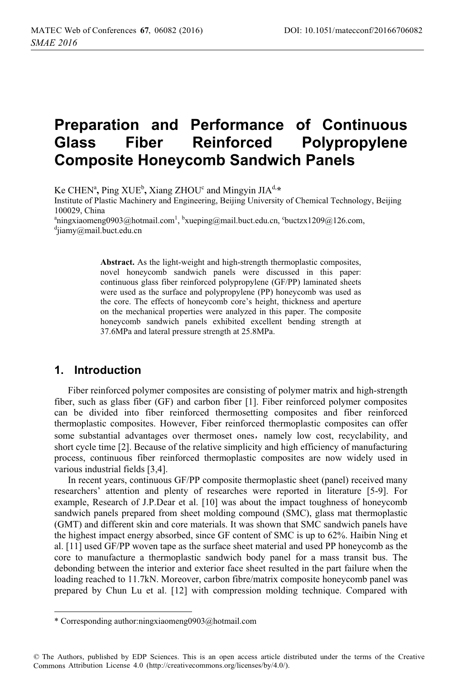# **Preparation and Performance of Continuous Glass Fiber Reinforced Polypropylene Composite Honeycomb Sandwich Panels**

Ke CHENª, Ping XUE<sup>b</sup>, Xiang ZHOU<sup>c</sup> and Mingyin JIA<sup>d,</sup>\*<br>Institute of Plastic Machinery and Engineering, Beijing University

Institute of Plastic Machinery and Engineering, Beijing University of Chemical Technology, Beijing 100029, China

<sup>a</sup>ningxiaomeng0903@hotmail.com<sup>1</sup>, <sup>b</sup>xueping@mail.buct.edu.cn, <sup>c</sup>buctzx1209@126.com, <sup>d</sup>iiamy@mail.buct.edu.cn  $d$ ijamy@mail.buct.edu.cn

> **Abstract.** As the light-weight and high-strength thermoplastic composites, novel honeycomb sandwich panels were discussed in this paper: continuous glass fiber reinforced polypropylene (GF/PP) laminated sheets were used as the surface and polypropylene (PP) honeycomb was used as the core. The effects of honeycomb core's height, thickness and aperture on the mechanical properties were analyzed in this paper. The composite honeycomb sandwich panels exhibited excellent bending strength at 37.6MPa and lateral pressure strength at 25.8MPa.

#### **1. Introduction**

 $\overline{a}$ 

Fiber reinforced polymer composites are consisting of polymer matrix and high-strength fiber, such as glass fiber (GF) and carbon fiber [1]. Fiber reinforced polymer composites can be divided into fiber reinforced thermosetting composites and fiber reinforced thermoplastic composites. However, Fiber reinforced thermoplastic composites can offer some substantial advantages over thermoset ones, namely low cost, recyclability, and short cycle time [2]. Because of the relative simplicity and high efficiency of manufacturing process, continuous fiber reinforced thermoplastic composites are now widely used in various industrial fields [3,4].

In recent years, continuous GF/PP composite thermoplastic sheet (panel) received many researchers' attention and plenty of researches were reported in literature [5-9]. For example, Research of J.P.Dear et al. [10] was about the impact toughness of honeycomb sandwich panels prepared from sheet molding compound (SMC), glass mat thermoplastic (GMT) and different skin and core materials. It was shown that SMC sandwich panels have the highest impact energy absorbed, since GF content of SMC is up to 62%. Haibin Ning et al. [11] used GF/PP woven tape as the surface sheet material and used PP honeycomb as the core to manufacture a thermoplastic sandwich body panel for a mass transit bus. The debonding between the interior and exterior face sheet resulted in the part failure when the loading reached to 11.7kN. Moreover, carbon fibre/matrix composite honeycomb panel was prepared by Chun Lu et al. [12] with compression molding technique. Compared with

<sup>\*</sup> Corresponding author:ningxiaomeng0903@hotmail.com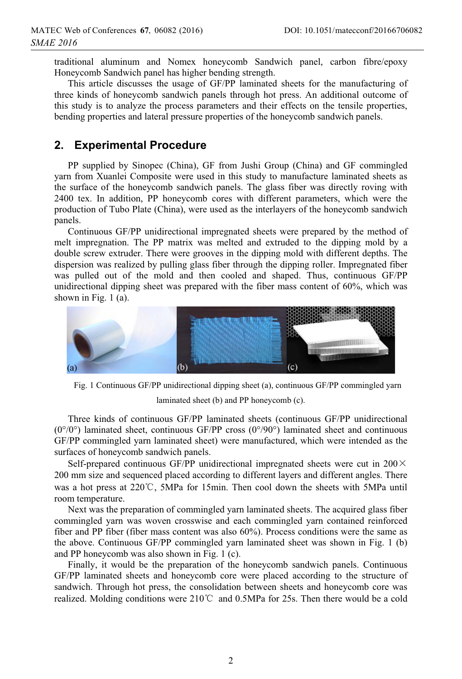traditional aluminum and Nomex honeycomb Sandwich panel, carbon fibre/epoxy Honeycomb Sandwich panel has higher bending strength.

This article discusses the usage of GF/PP laminated sheets for the manufacturing of three kinds of honeycomb sandwich panels through hot press. An additional outcome of this study is to analyze the process parameters and their effects on the tensile properties, bending properties and lateral pressure properties of the honeycomb sandwich panels.

## **2. Experimental Procedure**

PP supplied by Sinopec (China), GF from Jushi Group (China) and GF commingled yarn from Xuanlei Composite were used in this study to manufacture laminated sheets as the surface of the honeycomb sandwich panels. The glass fiber was directly roving with 2400 tex. In addition, PP honeycomb cores with different parameters, which were the production of Tubo Plate (China), were used as the interlayers of the honeycomb sandwich panels.

Continuous GF/PP unidirectional impregnated sheets were prepared by the method of melt impregnation. The PP matrix was melted and extruded to the dipping mold by a double screw extruder. There were grooves in the dipping mold with different depths. The dispersion was realized by pulling glass fiber through the dipping roller. Impregnated fiber was pulled out of the mold and then cooled and shaped. Thus, continuous GF/PP unidirectional dipping sheet was prepared with the fiber mass content of 60%, which was shown in Fig. 1 (a).



Fig. 1 Continuous GF/PP unidirectional dipping sheet (a), continuous GF/PP commingled yarn laminated sheet (b) and PP honeycomb (c).

Three kinds of continuous GF/PP laminated sheets (continuous GF/PP unidirectional  $(0^{\circ}/0^{\circ})$  laminated sheet, continuous GF/PP cross  $(0^{\circ}/90^{\circ})$  laminated sheet and continuous GF/PP commingled yarn laminated sheet) were manufactured, which were intended as the surfaces of honeycomb sandwich panels.

Self-prepared continuous GF/PP unidirectional impregnated sheets were cut in  $200 \times$ 200 mm size and sequenced placed according to different layers and different angles. There was a hot press at  $220^{\circ}$ C, 5MPa for 15min. Then cool down the sheets with 5MPa until room temperature.

Next was the preparation of commingled yarn laminated sheets. The acquired glass fiber commingled yarn was woven crosswise and each commingled yarn contained reinforced fiber and PP fiber (fiber mass content was also 60%). Process conditions were the same as the above. Continuous GF/PP commingled yarn laminated sheet was shown in Fig. 1 (b) and PP honeycomb was also shown in Fig. 1 (c).

Finally, it would be the preparation of the honeycomb sandwich panels. Continuous GF/PP laminated sheets and honeycomb core were placed according to the structure of sandwich. Through hot press, the consolidation between sheets and honeycomb core was realized. Molding conditions were  $210^{\circ}\text{C}$  and 0.5MPa for 25s. Then there would be a cold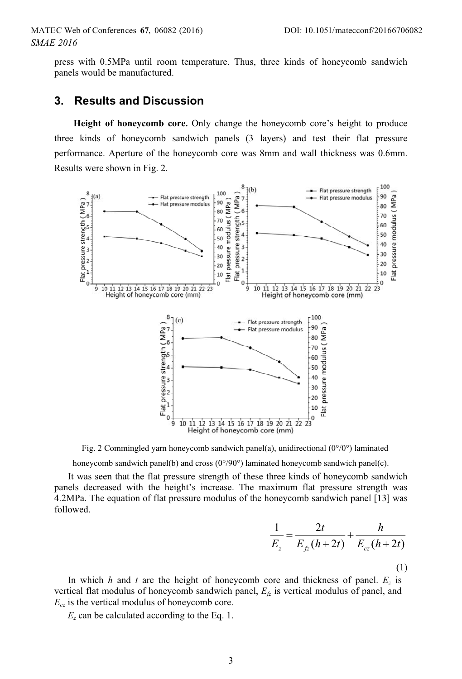press with 0.5MPa until room temperature. Thus, three kinds of honeycomb sandwich panels would be manufactured.

#### **3. Results and Discussion**

**Height of honeycomb core.** Only change the honeycomb core's height to produce three kinds of honeycomb sandwich panels (3 layers) and test their flat pressure performance. Aperture of the honeycomb core was 8mm and wall thickness was 0.6mm. Results were shown in Fig. 2.



Fig. 2 Commingled yarn honeycomb sandwich panel(a), unidirectional (0°/0°) laminated

honeycomb sandwich panel(b) and cross  $(0^{\circ}/90^{\circ})$  laminated honeycomb sandwich panel(c).

It was seen that the flat pressure strength of these three kinds of honeycomb sandwich panels decreased with the height's increase. The maximum flat pressure strength was 4.2MPa. The equation of flat pressure modulus of the honeycomb sandwich panel [13] was followed.

$$
\frac{1}{E_z} = \frac{2t}{E_{fz}(h+2t)} + \frac{h}{E_{cz}(h+2t)}
$$
\n(1)

In which *h* and *t* are the height of honeycomb core and thickness of panel.  $E_z$  is vertical flat modulus of honeycomb sandwich panel,  $E<sub>fz</sub>$  is vertical modulus of panel, and  $E_{cz}$  is the vertical modulus of honeycomb core.

*Ez* can be calculated according to the Eq. 1.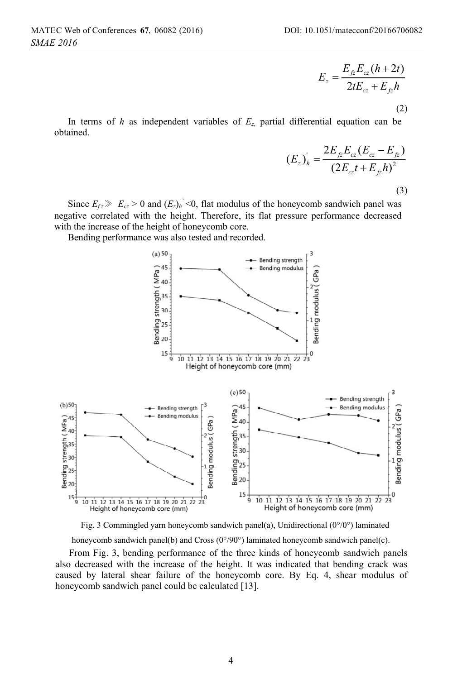$$
E_z = \frac{E_{jz}E_{cz}(h+2t)}{2tE_{cz} + E_{jz}h}
$$

(2)

In terms of *h* as independent variables of  $E_z$  partial differential equation can be obtained.

$$
(E_z)_h = \frac{2E_{fz}E_{cz}(E_{cz} - E_{fz})}{(2E_{cz}t + E_{fz}h)^2}
$$
\n(3)

Since  $E_{fz} \gg E_{cz} > 0$  and  $(E_z)_h$ <sup>'</sup> <0, flat modulus of the honeycomb sandwich panel was negative correlated with the height. Therefore, its flat pressure performance decreased with the increase of the height of honeycomb core.

Bending performance was also tested and recorded.



Fig. 3 Commingled yarn honeycomb sandwich panel(a), Unidirectional (0°/0°) laminated honeycomb sandwich panel(b) and Cross (0°/90°) laminated honeycomb sandwich panel(c).

From Fig. 3, bending performance of the three kinds of honeycomb sandwich panels also decreased with the increase of the height. It was indicated that bending crack was caused by lateral shear failure of the honeycomb core. By Eq. 4, shear modulus of honeycomb sandwich panel could be calculated [13].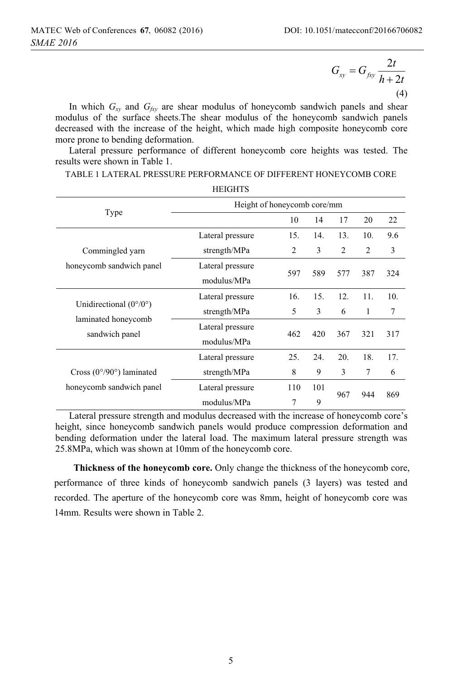2  $\mathbf{v}_{xy} = \mathbf{G}_{fxy} \frac{1}{h+2}$  $G_{xy} = G_{fxy} \frac{2t}{h+2t}$ (4)

In which  $G_{xy}$  and  $G_{fxy}$  are shear modulus of honeycomb sandwich panels and shear modulus of the surface sheets.The shear modulus of the honeycomb sandwich panels decreased with the increase of the height, which made high composite honeycomb core more prone to bending deformation.

Lateral pressure performance of different honeycomb core heights was tested. The results were shown in Table 1.

TABLE 1 LATERAL PRESSURE PERFORMANCE OF DIFFERENT HONEYCOMB CORE  $\cdots$ 

|                                                                                 | <b>HEIGHIS</b>                  |                |            |                |                |     |  |  |
|---------------------------------------------------------------------------------|---------------------------------|----------------|------------|----------------|----------------|-----|--|--|
|                                                                                 | Height of honeycomb core/mm     |                |            |                |                |     |  |  |
| Type                                                                            |                                 | 10             | 14         | 17             | 20             | 22  |  |  |
|                                                                                 | Lateral pressure                | 15.            | 14.        | 13.            | 10.            | 9.6 |  |  |
| Commingled yarn                                                                 | strength/MPa                    | $\overline{c}$ | 3          | $\mathfrak{D}$ | $\overline{c}$ | 3   |  |  |
| honeycomb sandwich panel                                                        | Lateral pressure<br>modulus/MPa | 597            | 589        | 577            | 387            | 324 |  |  |
| Unidirectional $(0^{\circ}/0^{\circ})$<br>laminated honeycomb<br>sandwich panel | Lateral pressure                | 16.            | 15.        | 12.            | 11.            | 10. |  |  |
|                                                                                 | strength/MPa                    | 5              | 3          | 6              | 1              | 7   |  |  |
|                                                                                 | Lateral pressure<br>modulus/MPa | 462            | 420        | 367            | 321            | 317 |  |  |
| Cross $(0^{\circ}/90^{\circ})$ laminated<br>honeycomb sandwich panel            | Lateral pressure                | 25.            | 24.        | 20.            | 18.            | 17. |  |  |
|                                                                                 | strength/MPa                    | 8              | 9          | 3              | $\overline{7}$ | 6   |  |  |
|                                                                                 | Lateral pressure                | 110            | 101<br>967 |                | 944            | 869 |  |  |
|                                                                                 | modulus/MPa                     | 7              | 9          |                |                |     |  |  |

Lateral pressure strength and modulus decreased with the increase of honeycomb core's height, since honeycomb sandwich panels would produce compression deformation and bending deformation under the lateral load. The maximum lateral pressure strength was 25.8MPa, which was shown at 10mm of the honeycomb core.

**Thickness of the honeycomb core.** Only change the thickness of the honeycomb core, performance of three kinds of honeycomb sandwich panels (3 layers) was tested and recorded. The aperture of the honeycomb core was 8mm, height of honeycomb core was 14mm. Results were shown in Table 2.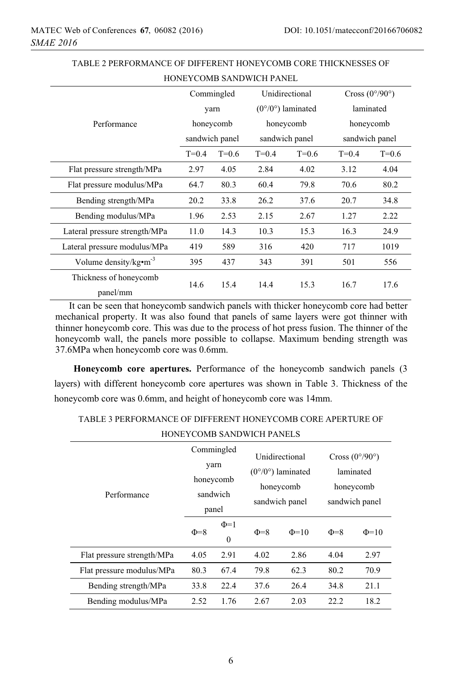|                                    |                |           | HUINE I CUMB SAIND WICH FAINEL |                                   |                                |           |  |
|------------------------------------|----------------|-----------|--------------------------------|-----------------------------------|--------------------------------|-----------|--|
|                                    | Commingled     |           | Unidirectional                 |                                   | Cross $(0^{\circ}/90^{\circ})$ |           |  |
|                                    |                | yarn      |                                | $(0^{\circ}/0^{\circ})$ laminated |                                | laminated |  |
| Performance                        |                | honeycomb |                                | honeycomb                         |                                | honeycomb |  |
|                                    | sandwich panel |           | sandwich panel                 |                                   | sandwich panel                 |           |  |
|                                    | $T=0.4$        | $T=0.6$   | $T=0.4$                        | $T=0.6$                           | $T=0.4$                        | $T=0.6$   |  |
| Flat pressure strength/MPa         | 2.97           | 4.05      | 2.84                           | 4.02                              | 3.12                           | 4.04      |  |
| Flat pressure modulus/MPa          | 64.7           | 80.3      | 60.4                           | 79.8                              | 70.6                           | 80.2      |  |
| Bending strength/MPa               | 20.2           | 33.8      | 26.2                           | 37.6                              | 20.7                           | 34.8      |  |
| Bending modulus/MPa                | 1.96           | 2.53      | 2.15                           | 2.67                              | 1.27                           | 2.22      |  |
| Lateral pressure strength/MPa      | 11.0           | 14.3      | 10.3                           | 15.3                              | 16.3                           | 24.9      |  |
| Lateral pressure modulus/MPa       | 419            | 589       | 316                            | 420                               | 717                            | 1019      |  |
| Volume density/ $kg \cdot m^{-3}$  | 395            | 437       | 343                            | 391                               | 501                            | 556       |  |
| Thickness of honeycomb<br>panel/mm | 14.6           | 15.4      | 14.4                           | 15.3                              | 16.7                           | 17.6      |  |

TABLE 2 PERFORMANCE OF DIFFERENT HONEYCOMB CORE THICKNESSES OF HONEYCOMB SANDWICH PANEL

It can be seen that honeycomb sandwich panels with thicker honeycomb core had better mechanical property. It was also found that panels of same layers were got thinner with thinner honeycomb core. This was due to the process of hot press fusion. The thinner of the honeycomb wall, the panels more possible to collapse. Maximum bending strength was 37.6MPa when honeycomb core was 0.6mm.

**Honeycomb core apertures.** Performance of the honeycomb sandwich panels (3 layers) with different honeycomb core apertures was shown in Table 3. Thickness of the honeycomb core was 0.6mm, and height of honeycomb core was 14mm.

TABLE 3 PERFORMANCE OF DIFFERENT HONEYCOMB CORE APERTURE OF

| <b>HONEYCOMB SANDWICH PANELS</b> |  |
|----------------------------------|--|
|                                  |  |

| Performance                | Commingled<br>yarn<br>honeycomb<br>sandwich<br>panel |                       | Unidirectional<br>$(0^{\circ}/0^{\circ})$ laminated<br>honeycomb<br>sandwich panel |            | Cross $(0^{\circ}/90^{\circ})$<br>laminated<br>honeycomb<br>sandwich panel |            |
|----------------------------|------------------------------------------------------|-----------------------|------------------------------------------------------------------------------------|------------|----------------------------------------------------------------------------|------------|
|                            | $\Phi = 8$                                           | $\Phi$ =1<br>$\theta$ | $\Phi = 8$                                                                         | $\Phi$ =10 | $\Phi = 8$                                                                 | $\Phi$ =10 |
| Flat pressure strength/MPa | 4.05                                                 | 2.91                  | 4.02                                                                               | 2.86       | 4.04                                                                       | 2.97       |
| Flat pressure modulus/MPa  | 80.3                                                 | 67.4                  | 79.8                                                                               | 62.3       | 80.2                                                                       | 70.9       |
| Bending strength/MPa       | 33.8                                                 | 22.4                  | 37.6                                                                               | 26.4       | 34.8                                                                       | 21.1       |
| Bending modulus/MPa        | 2.52                                                 | 1.76                  | 2.67                                                                               | 2.03       | 22.2.                                                                      | 18.2       |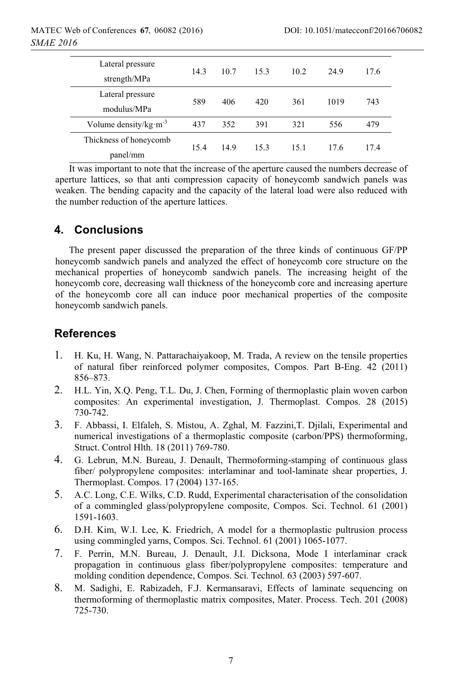| Lateral pressure<br>strength/MPa   | 14.3 | 10.7 | 15.3 | 10.2 | 24.9 | 17.6 |
|------------------------------------|------|------|------|------|------|------|
| Lateral pressure<br>modulus/MPa    | 589  | 406  | 420  | 361  | 1019 | 743  |
| Volume density/ $kg·m-3$           | 437  | 352  | 391  | 321  | 556  | 479  |
| Thickness of honeycomb<br>panel/mm | 15.4 | 14.9 | 15.3 | 15.1 | 17.6 | 17.4 |

It was important to note that the increase of the aperture caused the numbers decrease of aperture lattices, so that anti compression capacity of honeycomb sandwich panels was weaken. The bending capacity and the capacity of the lateral load were also reduced with the number reduction of the aperture lattices.

### **4. Conclusions**

The present paper discussed the preparation of the three kinds of continuous GF/PP honeycomb sandwich panels and analyzed the effect of honeycomb core structure on the mechanical properties of honeycomb sandwich panels. The increasing height of the honeycomb core, decreasing wall thickness of the honeycomb core and increasing aperture of the honeycomb core all can induce poor mechanical properties of the composite honeycomb sandwich panels.

## **References**

- 1. H. Ku, H. Wang, N. Pattarachaiyakoop, M. Trada, A review on the tensile properties of natural fiber reinforced polymer composites, Compos. Part B-Eng. 42 (2011) 856–873.
- 2. H.L. Yin, X.Q. Peng, T.L. Du, J. Chen, Forming of thermoplastic plain woven carbon composites: An experimental investigation, J. Thermoplast. Compos. 28 (2015) 730-742.
- 3. F. Abbassi, I. Elfaleh, S. Mistou, A. Zghal, M. Fazzini,T. Djilali, Experimental and numerical investigations of a thermoplastic composite (carbon/PPS) thermoforming, Struct. Control Hlth. 18 (2011) 769-780.
- 4. G. Lebrun, M.N. Bureau, J. Denault, Thermoforming-stamping of continuous glass fiber/ polypropylene composites: interlaminar and tool-laminate shear properties, J. Thermoplast. Compos. 17 (2004) 137-165.
- 5. A.C. Long, C.E. Wilks, C.D. Rudd, Experimental characterisation of the consolidation of a commingled glass/polypropylene composite, Compos. Sci. Technol. 61 (2001) 1591-1603.
- 6. D.H. Kim, W.I. Lee, K. Friedrich, A model for a thermoplastic pultrusion process using commingled yarns, Compos. Sci. Technol. 61 (2001) 1065-1077.
- 7. F. Perrin, M.N. Bureau, J. Denault, J.I. Dicksona, Mode I interlaminar crack propagation in continuous glass fiber/polypropylene composites: temperature and molding condition dependence, Compos. Sci. Technol. 63 (2003) 597-607.
- 8. M. Sadighi, E. Rabizadeh, F.J. Kermansaravi, Effects of laminate sequencing on thermoforming of thermoplastic matrix composites, Mater. Process. Tech. 201 (2008) 725-730.